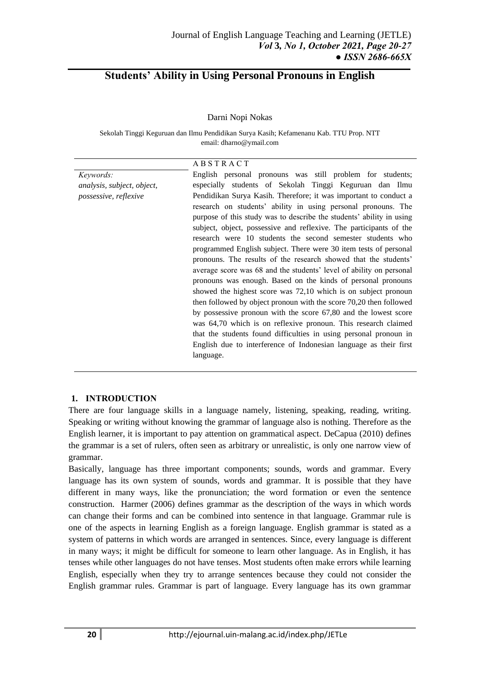# **Students' Ability in Using Personal Pronouns in English**

#### Darni Nopi Nokas

Sekolah Tinggi Keguruan dan Ilmu Pendidikan Surya Kasih; Kefamenanu Kab. TTU Prop. NTT email[: dharno@ymail.com](mailto:dharno@ymail.com)

|                                         | <b>ABSTRACT</b>                                                                                                                                                                                                                                                                                                                                                                                                                                                                                                                                                                                                                                                                                                                                                                                                                                                                                                                                                                                                                                                 |
|-----------------------------------------|-----------------------------------------------------------------------------------------------------------------------------------------------------------------------------------------------------------------------------------------------------------------------------------------------------------------------------------------------------------------------------------------------------------------------------------------------------------------------------------------------------------------------------------------------------------------------------------------------------------------------------------------------------------------------------------------------------------------------------------------------------------------------------------------------------------------------------------------------------------------------------------------------------------------------------------------------------------------------------------------------------------------------------------------------------------------|
| Keywords:<br>analysis, subject, object, | English personal pronouns was still problem for students;<br>especially students of Sekolah Tinggi Keguruan dan Ilmu                                                                                                                                                                                                                                                                                                                                                                                                                                                                                                                                                                                                                                                                                                                                                                                                                                                                                                                                            |
| <i>possessive, reflexive</i>            | Pendidikan Surya Kasih. Therefore; it was important to conduct a<br>research on students' ability in using personal pronouns. The<br>purpose of this study was to describe the students' ability in using<br>subject, object, possessive and reflexive. The participants of the<br>research were 10 students the second semester students who<br>programmed English subject. There were 30 item tests of personal<br>pronouns. The results of the research showed that the students'<br>average score was 68 and the students' level of ability on personal<br>pronouns was enough. Based on the kinds of personal pronouns<br>showed the highest score was 72,10 which is on subject pronoun<br>then followed by object pronoun with the score 70,20 then followed<br>by possessive pronoun with the score 67,80 and the lowest score<br>was 64,70 which is on reflexive pronoun. This research claimed<br>that the students found difficulties in using personal pronoun in<br>English due to interference of Indonesian language as their first<br>language. |

#### **1. INTRODUCTION**

There are four language skills in a language namely, listening, speaking, reading, writing. Speaking or writing without knowing the grammar of language also is nothing. Therefore as the English learner, it is important to pay attention on grammatical aspect. DeCapua (2010) defines the grammar is a set of rulers, often seen as arbitrary or unrealistic, is only one narrow view of grammar.

Basically, language has three important components; sounds, words and grammar. Every language has its own system of sounds, words and grammar. It is possible that they have different in many ways, like the pronunciation; the word formation or even the sentence construction. Harmer (2006) defines grammar as the description of the ways in which words can change their forms and can be combined into sentence in that language. Grammar rule is one of the aspects in learning English as a foreign language. English grammar is stated as a system of patterns in which words are arranged in sentences. Since, every language is different in many ways; it might be difficult for someone to learn other language. As in English, it has tenses while other languages do not have tenses. Most students often make errors while learning English, especially when they try to arrange sentences because they could not consider the English grammar rules. Grammar is part of language. Every language has its own grammar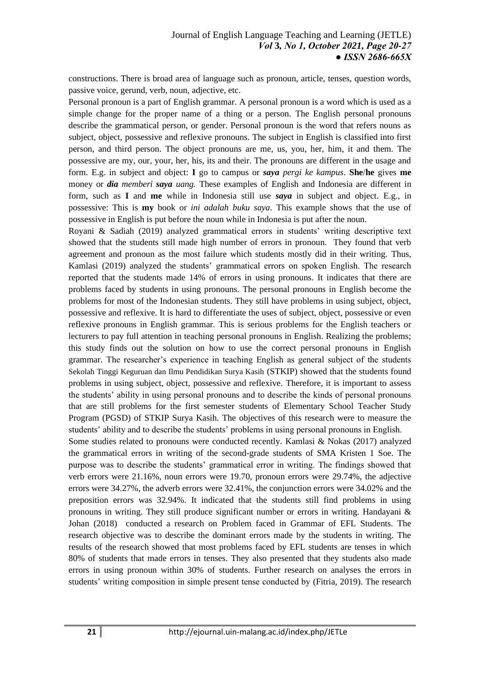## Journal of English Language Teaching and Learning (JETLE) *Vol* **3***, No 1, October 2021, Page 20-27 ● ISSN 2686-665X*

constructions. There is broad area of language such as pronoun, article, tenses, question words, passive voice, gerund, verb, noun, adjective, etc.

Personal pronoun is a part of English grammar. A personal pronoun is a word which is used as a simple change for the proper name of a thing or a person. The English personal pronouns describe the grammatical person, or gender. Personal pronoun is the word that refers nouns as subject, object, possessive and reflexive pronouns. The subject in English is classified into first person, and third person. The object pronouns are me, us, you, her, him, it and them. The possessive are my, our, your, her, his, its and their. The pronouns are different in the usage and form. E.g. in subject and object: **I** go to campus or *saya pergi ke kampus*. **She**/**he** gives **me** money or *dia memberi saya uang.* These examples of English and Indonesia are different in form, such as **I** and **me** while in Indonesia still use *saya* in subject and object. E.g., in possessive: This is **my** book or *ini adalah buku saya*. This example shows that the use of possessive in English is put before the noun while in Indonesia is put after the noun.

Royani & Sadiah (2019) analyzed grammatical errors in students' writing descriptive text showed that the students still made high number of errors in pronoun. They found that verb agreement and pronoun as the most failure which students mostly did in their writing. Thus, Kamlasi (2019) analyzed the students' grammatical errors on spoken English. The research reported that the students made 14% of errors in using pronouns. It indicates that there are problems faced by students in using pronouns. The personal pronouns in English become the problems for most of the Indonesian students. They still have problems in using subject, object, possessive and reflexive. It is hard to differentiate the uses of subject, object, possessive or even reflexive pronouns in English grammar. This is serious problems for the English teachers or lecturers to pay full attention in teaching personal pronouns in English. Realizing the problems; this study finds out the solution on how to use the correct personal pronouns in English grammar. The researcher's experience in teaching English as general subject of the students Sekolah Tinggi Keguruan dan Ilmu Pendidikan Surya Kasih (STKIP) showed that the students found problems in using subject, object, possessive and reflexive. Therefore, it is important to assess the students' ability in using personal pronouns and to describe the kinds of personal pronouns that are still problems for the first semester students of Elementary School Teacher Study Program (PGSD) of STKIP Surya Kasih. The objectives of this research were to measure the students' ability and to describe the students' problems in using personal pronouns in English.

Some studies related to pronouns were conducted recently. Kamlasi & Nokas (2017) analyzed the grammatical errors in writing of the second-grade students of SMA Kristen 1 Soe. The purpose was to describe the students' grammatical error in writing. The findings showed that verb errors were 21.16%, noun errors were 19.70, pronoun errors were 29.74%, the adjective errors were 34.27%, the adverb errors were 32.41%, the conjunction errors were 34.02% and the preposition errors was 32.94%. It indicated that the students still find problems in using pronouns in writing. They still produce significant number or errors in writing. Handayani & Johan (2018) conducted a research on Problem faced in Grammar of EFL Students. The research objective was to describe the dominant errors made by the students in writing. The results of the research showed that most problems faced by EFL students are tenses in which 80% of students that made errors in tenses. They also presented that they students also made errors in using pronoun within 30% of students. Further research on analyses the errors in students' writing composition in simple present tense conducted by (Fitria, 2019). The research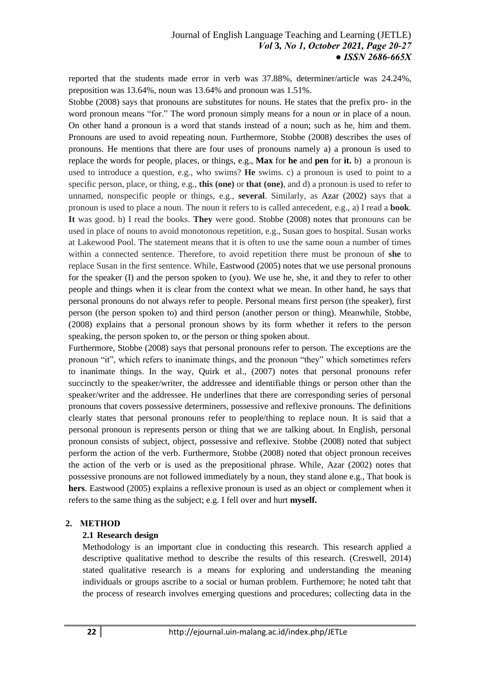# Journal of English Language Teaching and Learning (JETLE) *Vol* **3***, No 1, October 2021, Page 20-27 ● ISSN 2686-665X*

reported that the students made error in verb was 37.88%, determiner/article was 24.24%, preposition was 13.64%, noun was 13.64% and pronoun was 1.51%.

Stobbe (2008) says that pronouns are substitutes for nouns. He states that the prefix pro- in the word pronoun means "for." The word pronoun simply means for a noun or in place of a noun. On other hand a pronoun is a word that stands instead of a noun; such as he, him and them. Pronouns are used to avoid repeating noun. Furthermore, Stobbe (2008) describes the uses of pronouns. He mentions that there are four uses of pronouns namely a) a pronoun is used to replace the words for people, places, or things, e.g., **Max** for **he** and **pen** for **it.** b)a pronoun is used to introduce a question, e.g., who swims? **He** swims. c) a pronoun is used to point to a specific person, place, or thing, e.g., **this (one)** or **that (one)**, and d) a pronoun is used to refer to unnamed, nonspecific people or things, e.g., **several**. Similarly, as Azar (2002) says that a pronoun is used to place a noun. The noun it refers to is called antecedent, e.g., a) I read a **book**. **It** was good. b) I read the books. **They** were good. Stobbe (2008) notes that pronouns can be used in place of nouns to avoid monotonous repetition, e.g., Susan goes to hospital. Susan works at Lakewood Pool. The statement means that it is often to use the same noun a number of times within a connected sentence. Therefore, to avoid repetition there must be pronoun of **she** to replace Susan in the first sentence. While, Eastwood (2005) notes that we use personal pronouns for the speaker (I) and the person spoken to (you). We use he, she, it and they to refer to other people and things when it is clear from the context what we mean. In other hand, he says that personal pronouns do not always refer to people. Personal means first person (the speaker), first person (the person spoken to) and third person (another person or thing). Meanwhile, Stobbe, (2008) explains that a personal pronoun shows by its form whether it refers to the person speaking, the person spoken to, or the person or thing spoken about.

Furthermore, Stobbe (2008) says that personal pronouns refer to person. The exceptions are the pronoun "it", which refers to inanimate things, and the pronoun "they" which sometimes refers to inanimate things. In the way, Quirk et al., (2007) notes that personal pronouns refer succinctly to the speaker/writer, the addressee and identifiable things or person other than the speaker/writer and the addressee. He underlines that there are corresponding series of personal pronouns that covers possessive determiners, possessive and reflexive pronouns. The definitions clearly states that personal pronouns refer to people/thing to replace noun. It is said that a personal pronoun is represents person or thing that we are talking about. In English, personal pronoun consists of subject, object, possessive and reflexive. Stobbe (2008) noted that subject perform the action of the verb. Furthermore, Stobbe (2008) noted that object pronoun receives the action of the verb or is used as the prepositional phrase. While, Azar (2002) notes that possessive pronouns are not followed immediately by a noun, they stand alone e.g., That book is **hers**. Eastwood (2005) explains a reflexive pronoun is used as an object or complement when it refers to the same thing as the subject; e.g. I fell over and hurt **myself.**

# **2. METHOD**

#### **2.1 Research design**

Methodology is an important clue in conducting this research. This research applied a descriptive qualitative method to describe the results of this research. (Creswell, 2014) stated qualitative research is a means for exploring and understanding the meaning individuals or groups ascribe to a social or human problem. Furthemore; he noted taht that the process of research involves emerging questions and procedures; collecting data in the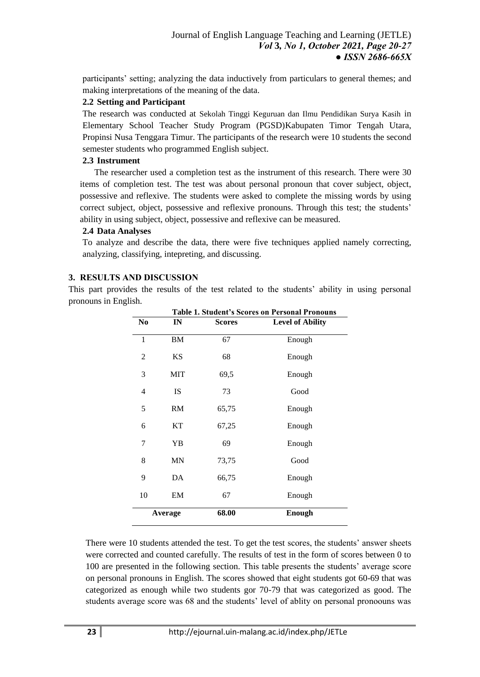participants' setting; analyzing the data inductively from particulars to general themes; and making interpretations of the meaning of the data.

## **2.2 Setting and Participant**

The research was conducted at Sekolah Tinggi Keguruan dan Ilmu Pendidikan Surya Kasih in Elementary School Teacher Study Program (PGSD)Kabupaten Timor Tengah Utara, Propinsi Nusa Tenggara Timur. The participants of the research were 10 students the second semester students who programmed English subject.

## **2.3 Instrument**

The researcher used a completion test as the instrument of this research. There were 30 items of completion test. The test was about personal pronoun that cover subject, object, possessive and reflexive. The students were asked to complete the missing words by using correct subject, object, possessive and reflexive pronouns. Through this test; the students' ability in using subject, object, possessive and reflexive can be measured.

## **2.4 Data Analyses**

To analyze and describe the data, there were five techniques applied namely correcting, analyzing, classifying, intepreting, and discussing.

## **3. RESULTS AND DISCUSSION**

This part provides the results of the test related to the students' ability in using personal pronouns in English.

| <b>Table 1. Student's Scores on Personal Pronouns</b> |            |               |                         |  |
|-------------------------------------------------------|------------|---------------|-------------------------|--|
| N <sub>0</sub>                                        | IN         | <b>Scores</b> | <b>Level of Ability</b> |  |
| $\mathbf{1}$                                          | BM         | 67            | Enough                  |  |
| $\overline{2}$                                        | KS         | 68            | Enough                  |  |
| 3                                                     | <b>MIT</b> | 69,5          | Enough                  |  |
| 4                                                     | IS         | 73            | Good                    |  |
| 5                                                     | RM         | 65,75         | Enough                  |  |
| 6                                                     | KT         | 67,25         | Enough                  |  |
| 7                                                     | YB         | 69            | Enough                  |  |
| 8                                                     | MN         | 73,75         | Good                    |  |
| 9                                                     | DA         | 66,75         | Enough                  |  |
| 10                                                    | EM         | 67            | Enough                  |  |
|                                                       | Average    | 68.00         | <b>Enough</b>           |  |

There were 10 students attended the test. To get the test scores, the students' answer sheets were corrected and counted carefully. The results of test in the form of scores between 0 to 100 are presented in the following section. This table presents the students' average score on personal pronouns in English. The scores showed that eight students got 60-69 that was categorized as enough while two students gor 70-79 that was categorized as good. The students average score was 68 and the students' level of ablity on personal pronoouns was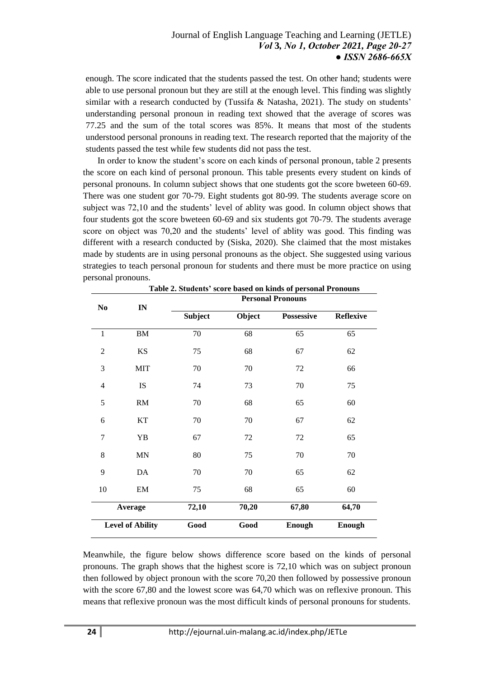enough. The score indicated that the students passed the test. On other hand; students were able to use personal pronoun but they are still at the enough level. This finding was slightly similar with a research conducted by (Tussifa  $\&$  Natasha, 2021). The study on students' understanding personal pronoun in reading text showed that the average of scores was 77.25 and the sum of the total scores was 85%. It means that most of the students understood personal pronouns in reading text. The research reported that the majority of the students passed the test while few students did not pass the test.

In order to know the student's score on each kinds of personal pronoun, table 2 presents the score on each kind of personal pronoun. This table presents every student on kinds of personal pronouns. In column subject shows that one students got the score bweteen 60-69. There was one student gor 70-79. Eight students got 80-99. The students average score on subject was 72,10 and the students' level of ablity was good. In column object shows that four students got the score bweteen 60-69 and six students got 70-79. The students average score on object was 70,20 and the students' level of ablity was good. This finding was different with a research conducted by (Siska, 2020). She claimed that the most mistakes made by students are in using personal pronouns as the object. She suggested using various strategies to teach personal pronoun for students and there must be more practice on using personal pronouns.

|                |                         | Table 2. Students' score based on kinds of personal Pronouns |        |                   |                  |  |
|----------------|-------------------------|--------------------------------------------------------------|--------|-------------------|------------------|--|
| N <sub>0</sub> | IN                      | <b>Personal Pronouns</b>                                     |        |                   |                  |  |
|                |                         | <b>Subject</b>                                               | Object | <b>Possessive</b> | <b>Reflexive</b> |  |
| $\mathbf{1}$   | BM                      | 70                                                           | 68     | 65                | 65               |  |
| $\overline{2}$ | <b>KS</b>               | 75                                                           | 68     | 67                | 62               |  |
| 3              | <b>MIT</b>              | 70                                                           | 70     | 72                | 66               |  |
| 4              | IS                      | 74                                                           | 73     | 70                | 75               |  |
| 5              | RM                      | 70                                                           | 68     | 65                | 60               |  |
| 6              | KT                      | 70                                                           | 70     | 67                | 62               |  |
| 7              | YB                      | 67                                                           | 72     | 72                | 65               |  |
| 8              | MN                      | 80                                                           | 75     | 70                | 70               |  |
| 9              | DA                      | 70                                                           | 70     | 65                | 62               |  |
| 10             | EM                      | 75                                                           | 68     | 65                | 60               |  |
|                | Average                 | 72,10                                                        | 70,20  | 67,80             | 64,70            |  |
|                | <b>Level of Ability</b> | Good                                                         | Good   | <b>Enough</b>     | <b>Enough</b>    |  |

Meanwhile, the figure below shows difference score based on the kinds of personal pronouns. The graph shows that the highest score is 72,10 which was on subject pronoun then followed by object pronoun with the score 70,20 then followed by possessive pronoun with the score 67,80 and the lowest score was 64,70 which was on reflexive pronoun. This means that reflexive pronoun was the most difficult kinds of personal pronouns for students.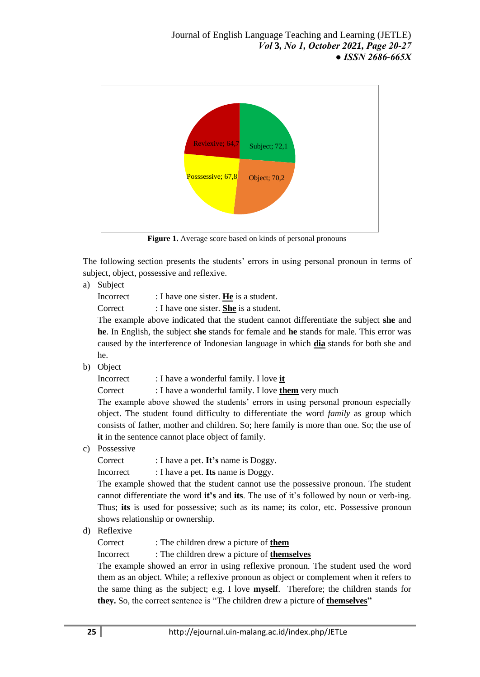

**Figure 1.** Average score based on kinds of personal pronouns

The following section presents the students' errors in using personal pronoun in terms of subject, object, possessive and reflexive.

a) Subject

Incorrect : I have one sister. **He** is a student.

Correct : I have one sister. **She** is a student.

The example above indicated that the student cannot differentiate the subject **she** and **he**. In English, the subject **she** stands for female and **he** stands for male. This error was caused by the interference of Indonesian language in which **dia** stands for both she and he.

b) Object

Incorrect : I have a wonderful family. I love **it**

Correct : I have a wonderful family. I love **them** very much

The example above showed the students' errors in using personal pronoun especially object. The student found difficulty to differentiate the word *family* as group which consists of father, mother and children. So; here family is more than one. So; the use of it in the sentence cannot place object of family.

c) Possessive

Correct : I have a pet. **It's** name is Doggy.

Incorrect : I have a pet. **Its** name is Doggy.

The example showed that the student cannot use the possessive pronoun. The student cannot differentiate the word **it's** and **its**. The use of it's followed by noun or verb-ing. Thus; **its** is used for possessive; such as its name; its color, etc. Possessive pronoun shows relationship or ownership.

d) Reflexive

Correct : The children drew a picture of **them**

Incorrect : The children drew a picture of **themselves**

The example showed an error in using reflexive pronoun. The student used the word them as an object. While; a reflexive pronoun as object or complement when it refers to the same thing as the subject; e.g. I love **myself**. Therefore; the children stands for **they.** So, the correct sentence is "The children drew a picture of **themselves"**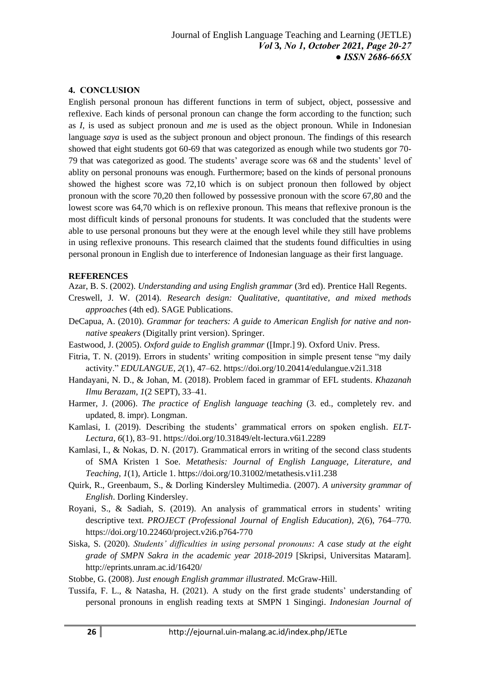#### **4. CONCLUSION**

English personal pronoun has different functions in term of subject, object, possessive and reflexive. Each kinds of personal pronoun can change the form according to the function; such as *I,* is used as subject pronoun and *me* is used as the object pronoun. While in Indonesian language *saya* is used as the subject pronoun and object pronoun. The findings of this research showed that eight students got 60-69 that was categorized as enough while two students gor 70- 79 that was categorized as good. The students' average score was 68 and the students' level of ablity on personal pronouns was enough. Furthermore; based on the kinds of personal pronouns showed the highest score was 72,10 which is on subject pronoun then followed by object pronoun with the score 70,20 then followed by possessive pronoun with the score 67,80 and the lowest score was 64,70 which is on reflexive pronoun. This means that reflexive pronoun is the most difficult kinds of personal pronouns for students. It was concluded that the students were able to use personal pronouns but they were at the enough level while they still have problems in using reflexive pronouns. This research claimed that the students found difficulties in using personal pronoun in English due to interference of Indonesian language as their first language.

#### **REFERENCES**

- Azar, B. S. (2002). *Understanding and using English grammar* (3rd ed). Prentice Hall Regents.
- Creswell, J. W. (2014). *Research design: Qualitative, quantitative, and mixed methods approaches* (4th ed). SAGE Publications.
- DeCapua, A. (2010). *Grammar for teachers: A guide to American English for native and nonnative speakers* (Digitally print version). Springer.
- Eastwood, J. (2005). *Oxford guide to English grammar* ([Impr.] 9). Oxford Univ. Press.
- Fitria, T. N. (2019). Errors in students' writing composition in simple present tense "my daily activity." *EDULANGUE*, *2*(1), 47–62. https://doi.org/10.20414/edulangue.v2i1.318
- Handayani, N. D., & Johan, M. (2018). Problem faced in grammar of EFL students. *Khazanah Ilmu Berazam*, *1*(2 SEPT), 33–41.
- Harmer, J. (2006). *The practice of English language teaching* (3. ed., completely rev. and updated, 8. impr). Longman.
- Kamlasi, I. (2019). Describing the students' grammatical errors on spoken english. *ELT-Lectura*, *6*(1), 83–91. https://doi.org/10.31849/elt-lectura.v6i1.2289
- Kamlasi, I., & Nokas, D. N. (2017). Grammatical errors in writing of the second class students of SMA Kristen 1 Soe. *Metathesis: Journal of English Language, Literature, and Teaching*, *1*(1), Article 1. https://doi.org/10.31002/metathesis.v1i1.238
- Quirk, R., Greenbaum, S., & Dorling Kindersley Multimedia. (2007). *A university grammar of English*. Dorling Kindersley.
- Royani, S., & Sadiah, S. (2019). An analysis of grammatical errors in students' writing descriptive text. *PROJECT (Professional Journal of English Education)*, *2*(6), 764–770. https://doi.org/10.22460/project.v2i6.p764-770
- Siska, S. (2020). *Students' difficulties in using personal pronouns: A case study at the eight grade of SMPN Sakra in the academic year 2018-2019* [Skripsi, Universitas Mataram]. http://eprints.unram.ac.id/16420/

Stobbe, G. (2008). *Just enough English grammar illustrated*. McGraw-Hill.

Tussifa, F. L., & Natasha, H. (2021). A study on the first grade students' understanding of personal pronouns in english reading texts at SMPN 1 Singingi. *Indonesian Journal of*